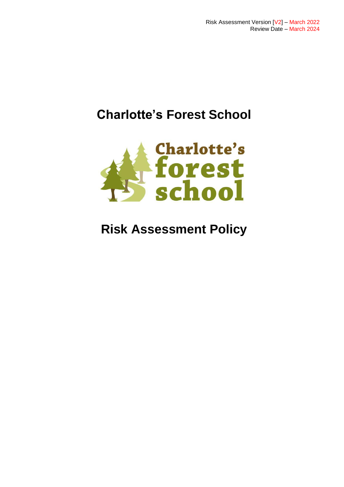# **Charlotte's Forest School**



# **Risk Assessment Policy**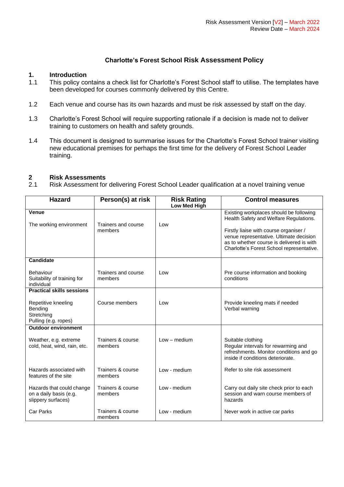## **Charlotte's Forest School Risk Assessment Policy**

### **1. Introduction**

- 1.1 This policy contains a check list for Charlotte's Forest School staff to utilise. The templates have been developed for courses commonly delivered by this Centre.
- 1.2 Each venue and course has its own hazards and must be risk assessed by staff on the day.
- 1.3 Charlotte's Forest School will require supporting rationale if a decision is made not to deliver training to customers on health and safety grounds.
- 1.4 This document is designed to summarise issues for the Charlotte's Forest School trainer visiting new educational premises for perhaps the first time for the delivery of Forest School Leader training.

#### **2 Risk Assessments**

2.1 Risk Assessment for delivering Forest School Leader qualification at a novel training venue

| <b>Hazard</b>                                                             | Person(s) at risk              | <b>Risk Rating</b><br>Low Med High | <b>Control measures</b>                                                                                                                                                     |
|---------------------------------------------------------------------------|--------------------------------|------------------------------------|-----------------------------------------------------------------------------------------------------------------------------------------------------------------------------|
|                                                                           |                                |                                    |                                                                                                                                                                             |
| <b>Venue</b><br>The working environment                                   | Trainers and course            | Low                                | Existing workplaces should be following<br>Health Safety and Welfare Regulations.                                                                                           |
|                                                                           | members                        |                                    | Firstly liaise with course organiser /<br>venue representative. Ultimate decision<br>as to whether course is delivered is with<br>Charlotte's Forest School representative. |
| <b>Candidate</b>                                                          |                                |                                    |                                                                                                                                                                             |
| Behaviour<br>Suitability of training for<br>individual                    | Trainers and course<br>members | Low                                | Pre course information and booking<br>conditions                                                                                                                            |
| <b>Practical skills sessions</b>                                          |                                |                                    |                                                                                                                                                                             |
| Repetitive kneeling<br>Bending<br>Stretching<br>Pulling (e.g. ropes)      | Course members                 | Low                                | Provide kneeling mats if needed<br>Verbal warning                                                                                                                           |
| <b>Outdoor environment</b>                                                |                                |                                    |                                                                                                                                                                             |
| Weather, e.g. extreme<br>cold, heat, wind, rain, etc.                     | Trainers & course<br>members   | $Low - medium$                     | Suitable clothing<br>Regular intervals for rewarming and<br>refreshments. Monitor conditions and go<br>inside if conditions deteriorate.                                    |
| Hazards associated with<br>features of the site                           | Trainers & course<br>members   | Low - medium                       | Refer to site risk assessment                                                                                                                                               |
| Hazards that could change<br>on a daily basis (e.g.<br>slippery surfaces) | Trainers & course<br>members   | Low - medium                       | Carry out daily site check prior to each<br>session and warn course members of<br>hazards                                                                                   |
| Car Parks                                                                 | Trainers & course<br>members   | Low - medium                       | Never work in active car parks                                                                                                                                              |